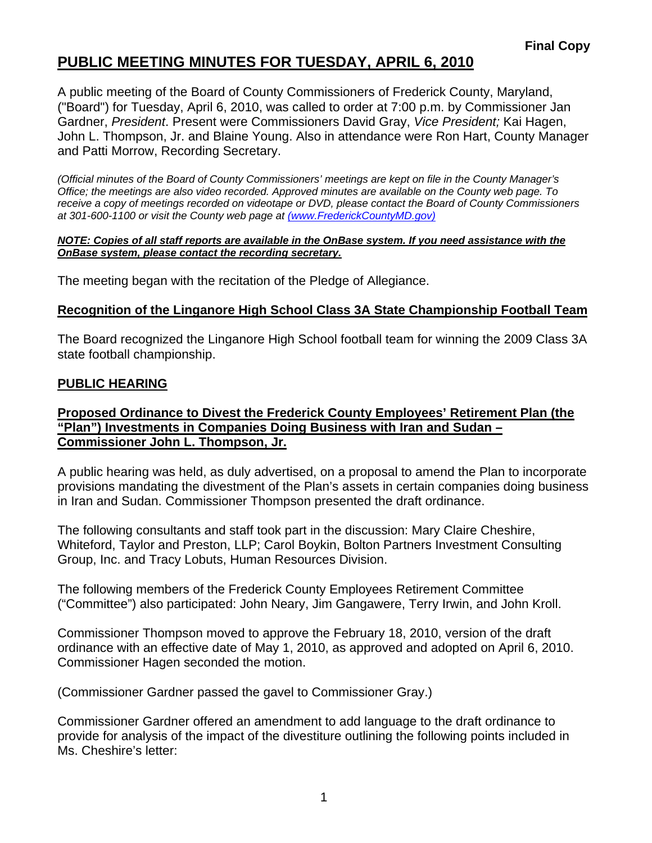# **PUBLIC MEETING MINUTES FOR TUESDAY, APRIL 6, 2010**

A public meeting of the Board of County Commissioners of Frederick County, Maryland, ("Board") for Tuesday, April 6, 2010, was called to order at 7:00 p.m. by Commissioner Jan Gardner, *President*. Present were Commissioners David Gray, *Vice President;* Kai Hagen, John L. Thompson, Jr. and Blaine Young. Also in attendance were Ron Hart, County Manager and Patti Morrow, Recording Secretary.

*(Official minutes of the Board of County Commissioners' meetings are kept on file in the County Manager's Office; the meetings are also video recorded. Approved minutes are available on the County web page. To receive a copy of meetings recorded on videotape or DVD, please contact the Board of County Commissioners at 301-600-1100 or visit the County web page at (www.FrederickCountyMD.gov)*

#### *NOTE: Copies of all staff reports are available in the OnBase system. If you need assistance with the OnBase system, please contact the recording secretary.*

The meeting began with the recitation of the Pledge of Allegiance.

### **Recognition of the Linganore High School Class 3A State Championship Football Team**

The Board recognized the Linganore High School football team for winning the 2009 Class 3A state football championship.

#### **PUBLIC HEARING**

#### **Proposed Ordinance to Divest the Frederick County Employees' Retirement Plan (the "Plan") Investments in Companies Doing Business with Iran and Sudan – Commissioner John L. Thompson, Jr.**

A public hearing was held, as duly advertised, on a proposal to amend the Plan to incorporate provisions mandating the divestment of the Plan's assets in certain companies doing business in Iran and Sudan. Commissioner Thompson presented the draft ordinance.

The following consultants and staff took part in the discussion: Mary Claire Cheshire, Whiteford, Taylor and Preston, LLP; Carol Boykin, Bolton Partners Investment Consulting Group, Inc. and Tracy Lobuts, Human Resources Division.

The following members of the Frederick County Employees Retirement Committee ("Committee") also participated: John Neary, Jim Gangawere, Terry Irwin, and John Kroll.

Commissioner Thompson moved to approve the February 18, 2010, version of the draft ordinance with an effective date of May 1, 2010, as approved and adopted on April 6, 2010. Commissioner Hagen seconded the motion.

(Commissioner Gardner passed the gavel to Commissioner Gray.)

Commissioner Gardner offered an amendment to add language to the draft ordinance to provide for analysis of the impact of the divestiture outlining the following points included in Ms. Cheshire's letter: